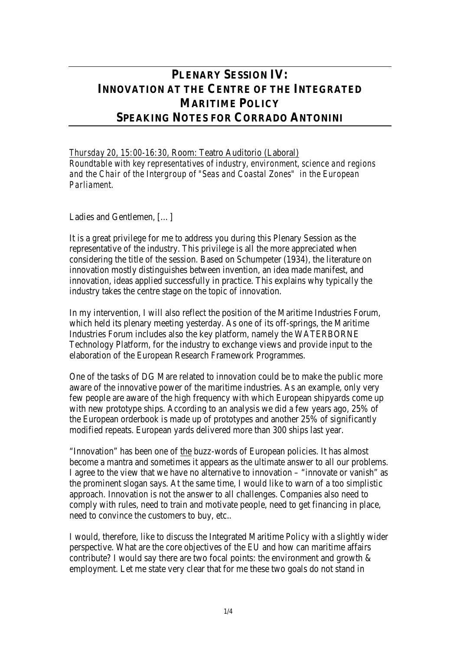# **PLENARY SESSION IV: INNOVATION AT THE CENTRE OF THE INTEGRATED MARITIME POLICY SPEAKING NOTES FOR CORRADO ANTONINI**

*Thursday 20, 15:00-16:30,* Room: Teatro Auditorio (Laboral)

*Roundtable with key representatives of industry, environment, science and regions and the Chair of the Intergroup of "Seas and Coastal Zones" in the European Parliament.* 

Ladies and Gentlemen, […]

It is a great privilege for me to address you during this Plenary Session as the representative of the industry. This privilege is all the more appreciated when considering the title of the session. Based on Schumpeter (1934), the literature on innovation mostly distinguishes between invention, an idea made manifest, and innovation, ideas applied successfully in practice. This explains why typically the industry takes the centre stage on the topic of innovation.

In my intervention, I will also reflect the position of the Maritime Industries Forum, which held its plenary meeting yesterday. As one of its off-springs, the Maritime Industries Forum includes also the key platform, namely the WATERBORNE Technology Platform, for the industry to exchange views and provide input to the elaboration of the European Research Framework Programmes.

One of the tasks of DG Mare related to innovation could be to make the public more aware of the innovative power of the maritime industries. As an example, only very few people are aware of the high frequency with which European shipyards come up with new prototype ships. According to an analysis we did a few years ago, 25% of the European orderbook is made up of prototypes and another 25% of significantly modified repeats. European yards delivered more than 300 ships last year.

"Innovation" has been one of the buzz-words of European policies. It has almost become a mantra and sometimes it appears as the ultimate answer to all our problems. I agree to the view that we have no alternative to innovation – "innovate or vanish" as the prominent slogan says. At the same time, I would like to warn of a too simplistic approach. Innovation is not the answer to all challenges. Companies also need to comply with rules, need to train and motivate people, need to get financing in place, need to convince the customers to buy, etc..

I would, therefore, like to discuss the Integrated Maritime Policy with a slightly wider perspective. What are the core objectives of the EU and how can maritime affairs contribute? I would say there are two focal points: the environment and growth  $\&$ employment. Let me state very clear that for me these two goals do not stand in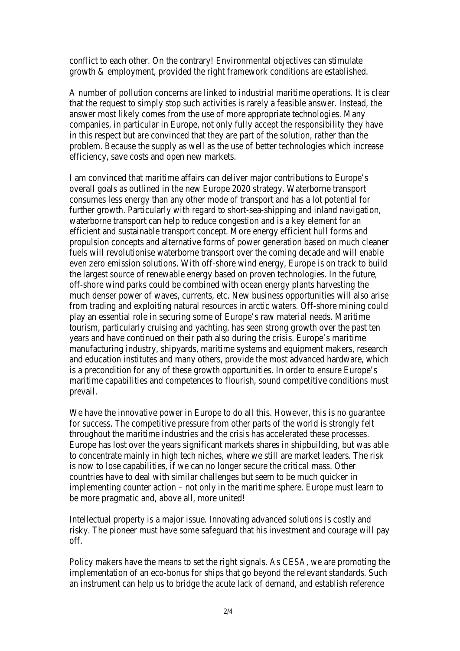conflict to each other. On the contrary! Environmental objectives can stimulate growth & employment, provided the right framework conditions are established.

A number of pollution concerns are linked to industrial maritime operations. It is clear that the request to simply stop such activities is rarely a feasible answer. Instead, the answer most likely comes from the use of more appropriate technologies. Many companies, in particular in Europe, not only fully accept the responsibility they have in this respect but are convinced that they are part of the solution, rather than the problem. Because the supply as well as the use of better technologies which increase efficiency, save costs and open new markets.

I am convinced that maritime affairs can deliver major contributions to Europe's overall goals as outlined in the new Europe 2020 strategy. Waterborne transport consumes less energy than any other mode of transport and has a lot potential for further growth. Particularly with regard to short-sea-shipping and inland navigation, waterborne transport can help to reduce congestion and is a key element for an efficient and sustainable transport concept. More energy efficient hull forms and propulsion concepts and alternative forms of power generation based on much cleaner fuels will revolutionise waterborne transport over the coming decade and will enable even zero emission solutions. With off-shore wind energy, Europe is on track to build the largest source of renewable energy based on proven technologies. In the future, off-shore wind parks could be combined with ocean energy plants harvesting the much denser power of waves, currents, etc. New business opportunities will also arise from trading and exploiting natural resources in arctic waters. Off-shore mining could play an essential role in securing some of Europe's raw material needs. Maritime tourism, particularly cruising and yachting, has seen strong growth over the past ten years and have continued on their path also during the crisis. Europe's maritime manufacturing industry, shipyards, maritime systems and equipment makers, research and education institutes and many others, provide the most advanced hardware, which is a precondition for any of these growth opportunities. In order to ensure Europe's maritime capabilities and competences to flourish, sound competitive conditions must prevail.

We have the innovative power in Europe to do all this. However, this is no guarantee for success. The competitive pressure from other parts of the world is strongly felt throughout the maritime industries and the crisis has accelerated these processes. Europe has lost over the years significant markets shares in shipbuilding, but was able to concentrate mainly in high tech niches, where we still are market leaders. The risk is now to lose capabilities, if we can no longer secure the critical mass. Other countries have to deal with similar challenges but seem to be much quicker in implementing counter action – not only in the maritime sphere. Europe must learn to be more pragmatic and, above all, more united!

Intellectual property is a major issue. Innovating advanced solutions is costly and risky. The pioneer must have some safeguard that his investment and courage will pay off.

Policy makers have the means to set the right signals. As CESA, we are promoting the implementation of an eco-bonus for ships that go beyond the relevant standards. Such an instrument can help us to bridge the acute lack of demand, and establish reference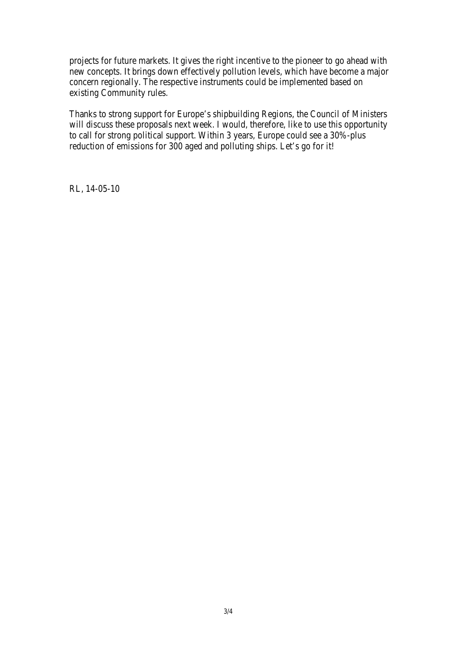projects for future markets. It gives the right incentive to the pioneer to go ahead with new concepts. It brings down effectively pollution levels, which have become a major concern regionally. The respective instruments could be implemented based on existing Community rules.

Thanks to strong support for Europe's shipbuilding Regions, the Council of Ministers will discuss these proposals next week. I would, therefore, like to use this opportunity to call for strong political support. Within 3 years, Europe could see a 30%-plus reduction of emissions for 300 aged and polluting ships. Let's go for it!

RL, 14-05-10